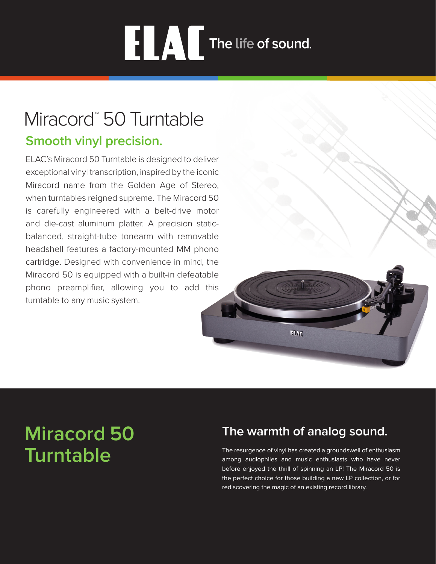# **ELAL** The life of sound.

# Miracord<sup>™</sup> 50 Turntable

### **Smooth vinyl precision.**

ELAC's Miracord 50 Turntable is designed to deliver exceptional vinyl transcription, inspired by the iconic Miracord name from the Golden Age of Stereo, when turntables reigned supreme. The Miracord 50 is carefully engineered with a belt-drive motor and die-cast aluminum platter. A precision staticbalanced, straight-tube tonearm with removable headshell features a factory-mounted MM phono cartridge. Designed with convenience in mind, the Miracord 50 is equipped with a built-in defeatable phono preamplifier, allowing you to add this turntable to any music system.



# **Miracord 50 Turntable**

## **The warmth of analog sound.**

The resurgence of vinyl has created a groundswell of enthusiasm among audiophiles and music enthusiasts who have never before enjoyed the thrill of spinning an LP! The Miracord 50 is the perfect choice for those building a new LP collection, or for rediscovering the magic of an existing record library.